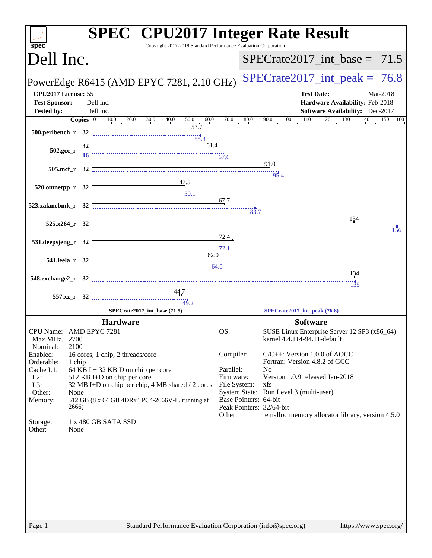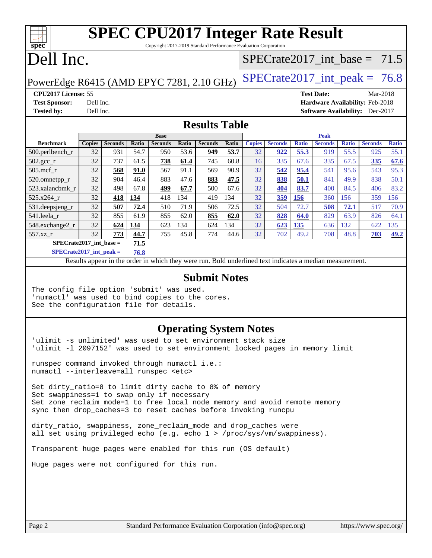Copyright 2017-2019 Standard Performance Evaluation Corporation

# Dell Inc.

**[spec](http://www.spec.org/)**

### [SPECrate2017\\_int\\_base =](http://www.spec.org/auto/cpu2017/Docs/result-fields.html#SPECrate2017intbase) 71.5

PowerEdge R6415 (AMD EPYC 7281, 2.10 GHz)  $\left|$  [SPECrate2017\\_int\\_peak =](http://www.spec.org/auto/cpu2017/Docs/result-fields.html#SPECrate2017intpeak) 76.8

**[Test Sponsor:](http://www.spec.org/auto/cpu2017/Docs/result-fields.html#TestSponsor)** Dell Inc. **[Hardware Availability:](http://www.spec.org/auto/cpu2017/Docs/result-fields.html#HardwareAvailability)** Feb-2018 **[Tested by:](http://www.spec.org/auto/cpu2017/Docs/result-fields.html#Testedby)** Dell Inc. **[Software Availability:](http://www.spec.org/auto/cpu2017/Docs/result-fields.html#SoftwareAvailability)** Dec-2017

**[CPU2017 License:](http://www.spec.org/auto/cpu2017/Docs/result-fields.html#CPU2017License)** 55 **[Test Date:](http://www.spec.org/auto/cpu2017/Docs/result-fields.html#TestDate)** Mar-2018

**[Results Table](http://www.spec.org/auto/cpu2017/Docs/result-fields.html#ResultsTable)**

|                                   | <b>Base</b>   |                |             | <b>Peak</b>    |       |                |       |               |                |              |                |              |                |              |
|-----------------------------------|---------------|----------------|-------------|----------------|-------|----------------|-------|---------------|----------------|--------------|----------------|--------------|----------------|--------------|
| <b>Benchmark</b>                  | <b>Copies</b> | <b>Seconds</b> | Ratio       | <b>Seconds</b> | Ratio | <b>Seconds</b> | Ratio | <b>Copies</b> | <b>Seconds</b> | <b>Ratio</b> | <b>Seconds</b> | <b>Ratio</b> | <b>Seconds</b> | <b>Ratio</b> |
| $500$ .perlbench r                | 32            | 931            | 54.7        | 950            | 53.6  | 949            | 53.7  | 32            | 922            | 55.3         | 919            | 55.5         | 925            | 55.1         |
| $502.\text{gcc}_r$                | 32            | 737            | 61.5        | 738            | 61.4  | 745            | 60.8  | 16            | 335            | 67.6         | 335            | 67.5         | 335            | 67.6         |
| $505$ .mcf r                      | 32            | 568            | <b>91.0</b> | 567            | 91.1  | 569            | 90.9  | 32            | 542            | 95.4         | 541            | 95.6         | 543            | 95.3         |
| 520.omnetpp_r                     | 32            | 904            | 46.4        | 883            | 47.6  | 883            | 47.5  | 32            | 838            | 50.1         | 841            | 49.9         | 838            | 50.1         |
| 523.xalancbmk r                   | 32            | 498            | 67.8        | 499            | 67.7  | 500            | 67.6  | 32            | 404            | 83.7         | 400            | 84.5         | 406            | 83.2         |
| 525.x264 r                        | 32            | 418            | 134         | 418            | 134   | 419            | 134   | 32            | 359            | 156          | 360            | 156          | 359            | 156          |
| 531.deepsjeng_r                   | 32            | 507            | 72.4        | 510            | 71.9  | 506            | 72.5  | 32            | 504            | 72.7         | 508            | 72.1         | 517            | 70.9         |
| 541.leela r                       | 32            | 855            | 61.9        | 855            | 62.0  | 855            | 62.0  | 32            | 828            | 64.0         | 829            | 63.9         | 826            | 64.1         |
| 548.exchange2_r                   | 32            | 624            | 134         | 623            | 134   | 624            | 134   | 32            | 623            | 135          | 636            | 132          | 622            | 135          |
| $557.xz$ r                        | 32            | 773            | 44.7        | 755            | 45.8  | 774            | 44.6  | 32            | 702            | 49.2         | 708            | 48.8         | 703            | 49.2         |
| $SPECrate2017$ int base =<br>71.5 |               |                |             |                |       |                |       |               |                |              |                |              |                |              |

**[SPECrate2017\\_int\\_peak =](http://www.spec.org/auto/cpu2017/Docs/result-fields.html#SPECrate2017intpeak) 76.8**

Results appear in the [order in which they were run.](http://www.spec.org/auto/cpu2017/Docs/result-fields.html#RunOrder) Bold underlined text [indicates a median measurement.](http://www.spec.org/auto/cpu2017/Docs/result-fields.html#Median)

#### **[Submit Notes](http://www.spec.org/auto/cpu2017/Docs/result-fields.html#SubmitNotes)**

The config file option 'submit' was used. 'numactl' was used to bind copies to the cores. See the configuration file for details.

### **[Operating System Notes](http://www.spec.org/auto/cpu2017/Docs/result-fields.html#OperatingSystemNotes)**

'ulimit -s unlimited' was used to set environment stack size 'ulimit -l 2097152' was used to set environment locked pages in memory limit

runspec command invoked through numactl i.e.: numactl --interleave=all runspec <etc>

Set dirty\_ratio=8 to limit dirty cache to 8% of memory Set swappiness=1 to swap only if necessary Set zone\_reclaim\_mode=1 to free local node memory and avoid remote memory sync then drop\_caches=3 to reset caches before invoking runcpu

dirty\_ratio, swappiness, zone\_reclaim\_mode and drop\_caches were all set using privileged echo (e.g. echo 1 > /proc/sys/vm/swappiness).

Transparent huge pages were enabled for this run (OS default)

Huge pages were not configured for this run.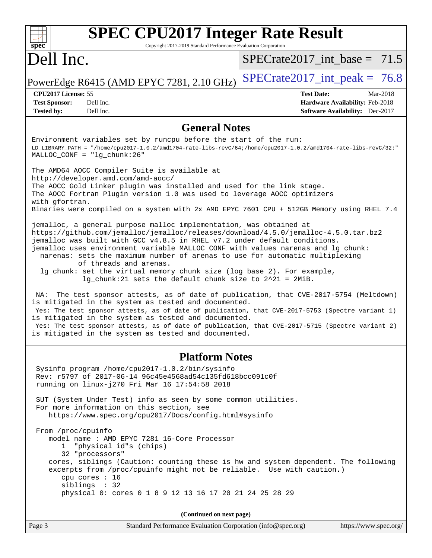#### **[SPEC CPU2017 Integer Rate Result](http://www.spec.org/auto/cpu2017/Docs/result-fields.html#SPECCPU2017IntegerRateResult)** dd h **[spec](http://www.spec.org/)** Copyright 2017-2019 Standard Performance Evaluation Corporation Dell Inc.  $SPECrate2017\_int\_base = 71.5$ PowerEdge R6415 (AMD EPYC 7281, 2.10 GHz)  $\text{SPECrate2017\_int\_peak} = 76.8$ **[CPU2017 License:](http://www.spec.org/auto/cpu2017/Docs/result-fields.html#CPU2017License)** 55 **[Test Date:](http://www.spec.org/auto/cpu2017/Docs/result-fields.html#TestDate)** Mar-2018 **[Test Sponsor:](http://www.spec.org/auto/cpu2017/Docs/result-fields.html#TestSponsor)** Dell Inc. **[Hardware Availability:](http://www.spec.org/auto/cpu2017/Docs/result-fields.html#HardwareAvailability)** Feb-2018 **[Tested by:](http://www.spec.org/auto/cpu2017/Docs/result-fields.html#Testedby)** Dell Inc. **[Software Availability:](http://www.spec.org/auto/cpu2017/Docs/result-fields.html#SoftwareAvailability)** Dec-2017 **[General Notes](http://www.spec.org/auto/cpu2017/Docs/result-fields.html#GeneralNotes)** Environment variables set by runcpu before the start of the run: LD\_LIBRARY\_PATH = "/home/cpu2017-1.0.2/amd1704-rate-libs-revC/64;/home/cpu2017-1.0.2/amd1704-rate-libs-revC/32:" MALLOC\_CONF = "lg\_chunk:26" The AMD64 AOCC Compiler Suite is available at <http://developer.amd.com/amd-aocc/> The AOCC Gold Linker plugin was installed and used for the link stage. The AOCC Fortran Plugin version 1.0 was used to leverage AOCC optimizers with gfortran. Binaries were compiled on a system with 2x AMD EPYC 7601 CPU + 512GB Memory using RHEL 7.4 jemalloc, a general purpose malloc implementation, was obtained at <https://github.com/jemalloc/jemalloc/releases/download/4.5.0/jemalloc-4.5.0.tar.bz2> jemalloc was built with GCC v4.8.5 in RHEL v7.2 under default conditions. jemalloc uses environment variable MALLOC\_CONF with values narenas and lg\_chunk: narenas: sets the maximum number of arenas to use for automatic multiplexing of threads and arenas. lg\_chunk: set the virtual memory chunk size (log base 2). For example, lg\_chunk:21 sets the default chunk size to 2^21 = 2MiB. NA: The test sponsor attests, as of date of publication, that CVE-2017-5754 (Meltdown) is mitigated in the system as tested and documented. Yes: The test sponsor attests, as of date of publication, that CVE-2017-5753 (Spectre variant 1) is mitigated in the system as tested and documented. Yes: The test sponsor attests, as of date of publication, that CVE-2017-5715 (Spectre variant 2) is mitigated in the system as tested and documented. **[Platform Notes](http://www.spec.org/auto/cpu2017/Docs/result-fields.html#PlatformNotes)** Sysinfo program /home/cpu2017-1.0.2/bin/sysinfo Rev: r5797 of 2017-06-14 96c45e4568ad54c135fd618bcc091c0f running on linux-j270 Fri Mar 16 17:54:58 2018 SUT (System Under Test) info as seen by some common utilities. For more information on this section, see <https://www.spec.org/cpu2017/Docs/config.html#sysinfo> From /proc/cpuinfo model name : AMD EPYC 7281 16-Core Processor 1 "physical id"s (chips) 32 "processors" cores, siblings (Caution: counting these is hw and system dependent. The following excerpts from /proc/cpuinfo might not be reliable. Use with caution.) cpu cores : 16 siblings : 32 physical 0: cores 0 1 8 9 12 13 16 17 20 21 24 25 28 29 **(Continued on next page)**

Page 3 Standard Performance Evaluation Corporation [\(info@spec.org\)](mailto:info@spec.org) <https://www.spec.org/>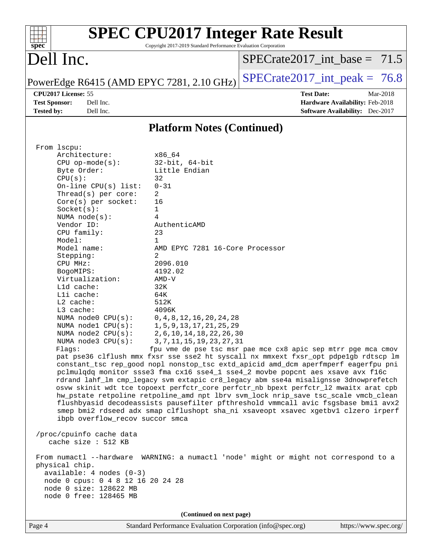| <b>SPEC CPU2017 Integer Rate Result</b><br>Spec<br>Copyright 2017-2019 Standard Performance Evaluation Corporation |           |                                           |                                  |                   |                                        |          |
|--------------------------------------------------------------------------------------------------------------------|-----------|-------------------------------------------|----------------------------------|-------------------|----------------------------------------|----------|
| Dell Inc.                                                                                                          |           |                                           | $SPECrate2017\_int\_base = 71.5$ |                   |                                        |          |
|                                                                                                                    |           | PowerEdge R6415 (AMD EPYC 7281, 2.10 GHz) | $ SPECrate2017_int\_peak = 76.8$ |                   |                                        |          |
| <b>CPU2017 License: 55</b>                                                                                         |           |                                           |                                  | <b>Test Date:</b> |                                        | Mar-2018 |
| <b>Test Sponsor:</b>                                                                                               | Dell Inc. |                                           |                                  |                   | <b>Hardware Availability: Feb-2018</b> |          |
| <b>Tested by:</b>                                                                                                  | Dell Inc. |                                           |                                  |                   | Software Availability: Dec-2017        |          |
| <b>Platform Notes (Continued)</b>                                                                                  |           |                                           |                                  |                   |                                        |          |

| From 1scpu:             |                                 |
|-------------------------|---------------------------------|
| Architecture:           | x86 64                          |
| $CPU$ op-mode( $s$ ):   | $32$ -bit, $64$ -bit            |
| Byte Order:             | Little Endian                   |
| CPU(s):                 | 32                              |
| On-line CPU(s) list:    | $0 - 31$                        |
| Thread( $s$ ) per core: | 2                               |
| $Core(s)$ per socket:   | 16                              |
| Socket(s):              | $\mathbf{1}$                    |
| NUMA $node(s):$         | 4                               |
| Vendor ID:              | AuthenticAMD                    |
| CPU family:             | 23                              |
| Model:                  | $\mathbf{1}$                    |
| Model name:             | AMD EPYC 7281 16-Core Processor |
| Stepping:               | 2                               |
| CPU MHz:                | 2096.010                        |
| BogoMIPS:               | 4192.02                         |
| Virtualization:         | AMD-V                           |
| $L1d$ cache:            | 32K                             |
| $L1i$ cache:            | 64K                             |
| $L2$ cache:             | 512K                            |
| $L3$ cache:             | 4096K                           |
| NUMA node0 CPU(s):      | 0, 4, 8, 12, 16, 20, 24, 28     |
| NUMA nodel CPU(s):      | 1, 5, 9, 13, 17, 21, 25, 29     |
| NUMA node2 CPU(s):      | 2, 6, 10, 14, 18, 22, 26, 30    |
| NUMA node3 CPU(s):      | 3, 7, 11, 15, 19, 23, 27, 31    |
|                         |                                 |

Flags: fpu vme de pse tsc msr pae mce cx8 apic sep mtrr pge mca cmov pat pse36 clflush mmx fxsr sse sse2 ht syscall nx mmxext fxsr\_opt pdpe1gb rdtscp lm constant\_tsc rep\_good nopl nonstop\_tsc extd\_apicid amd\_dcm aperfmperf eagerfpu pni pclmulqdq monitor ssse3 fma cx16 sse4\_1 sse4\_2 movbe popcnt aes xsave avx f16c rdrand lahf\_lm cmp\_legacy svm extapic cr8\_legacy abm sse4a misalignsse 3dnowprefetch osvw skinit wdt tce topoext perfctr\_core perfctr\_nb bpext perfctr\_l2 mwaitx arat cpb hw\_pstate retpoline retpoline\_amd npt lbrv svm\_lock nrip\_save tsc\_scale vmcb\_clean flushbyasid decodeassists pausefilter pfthreshold vmmcall avic fsgsbase bmi1 avx2 smep bmi2 rdseed adx smap clflushopt sha\_ni xsaveopt xsavec xgetbv1 clzero irperf ibpb overflow\_recov succor smca

 /proc/cpuinfo cache data cache size : 512 KB

 From numactl --hardware WARNING: a numactl 'node' might or might not correspond to a physical chip. available: 4 nodes (0-3) node 0 cpus: 0 4 8 12 16 20 24 28 node 0 size: 128622 MB node 0 free: 128465 MB

**(Continued on next page)**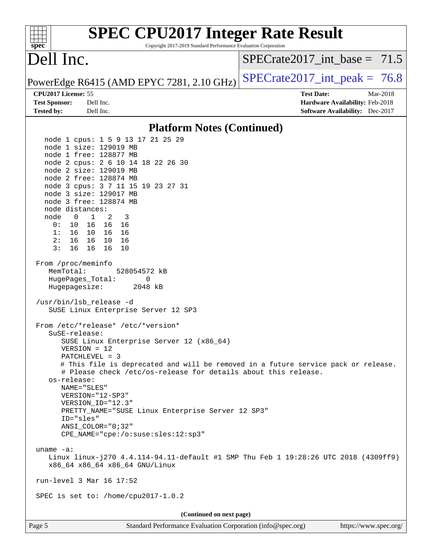#### **[SPEC CPU2017 Integer Rate Result](http://www.spec.org/auto/cpu2017/Docs/result-fields.html#SPECCPU2017IntegerRateResult)**  $+\ +$ **[spec](http://www.spec.org/)** Copyright 2017-2019 Standard Performance Evaluation Corporation Dell Inc. SPECrate2017 int\_base =  $71.5$ PowerEdge R6415 (AMD EPYC 7281, 2.10 GHz)  $\text{SPECrate}2017\_int\_peak = 76.8$ **[CPU2017 License:](http://www.spec.org/auto/cpu2017/Docs/result-fields.html#CPU2017License)** 55 **[Test Date:](http://www.spec.org/auto/cpu2017/Docs/result-fields.html#TestDate)** Mar-2018 **[Test Sponsor:](http://www.spec.org/auto/cpu2017/Docs/result-fields.html#TestSponsor)** Dell Inc. **[Hardware Availability:](http://www.spec.org/auto/cpu2017/Docs/result-fields.html#HardwareAvailability)** Feb-2018 **[Tested by:](http://www.spec.org/auto/cpu2017/Docs/result-fields.html#Testedby)** Dell Inc. **[Software Availability:](http://www.spec.org/auto/cpu2017/Docs/result-fields.html#SoftwareAvailability)** Dec-2017 **[Platform Notes \(Continued\)](http://www.spec.org/auto/cpu2017/Docs/result-fields.html#PlatformNotes)** node 1 cpus: 1 5 9 13 17 21 25 29 node 1 size: 129019 MB node 1 free: 128877 MB node 2 cpus: 2 6 10 14 18 22 26 30 node 2 size: 129019 MB node 2 free: 128874 MB node 3 cpus: 3 7 11 15 19 23 27 31 node 3 size: 129017 MB node 3 free: 128874 MB node distances: node 0 1 2 3 0: 10 16 16 16 1: 16 10 16 16 2: 16 16 10 16 3: 16 16 16 10 From /proc/meminfo MemTotal: 528054572 kB HugePages\_Total: 0 Hugepagesize: 2048 kB /usr/bin/lsb\_release -d SUSE Linux Enterprise Server 12 SP3 From /etc/\*release\* /etc/\*version\* SuSE-release: SUSE Linux Enterprise Server 12 (x86\_64) VERSION = 12 PATCHLEVEL = 3 # This file is deprecated and will be removed in a future service pack or release. # Please check /etc/os-release for details about this release. os-release: NAME="SLES" VERSION="12-SP3" VERSION\_ID="12.3" PRETTY NAME="SUSE Linux Enterprise Server 12 SP3" ID="sles" ANSI\_COLOR="0;32" CPE\_NAME="cpe:/o:suse:sles:12:sp3" uname -a: Linux linux-j270 4.4.114-94.11-default #1 SMP Thu Feb 1 19:28:26 UTC 2018 (4309ff9) x86\_64 x86\_64 x86\_64 GNU/Linux run-level 3 Mar 16 17:52 SPEC is set to: /home/cpu2017-1.0.2 **(Continued on next page)**Page 5 Standard Performance Evaluation Corporation [\(info@spec.org\)](mailto:info@spec.org) <https://www.spec.org/>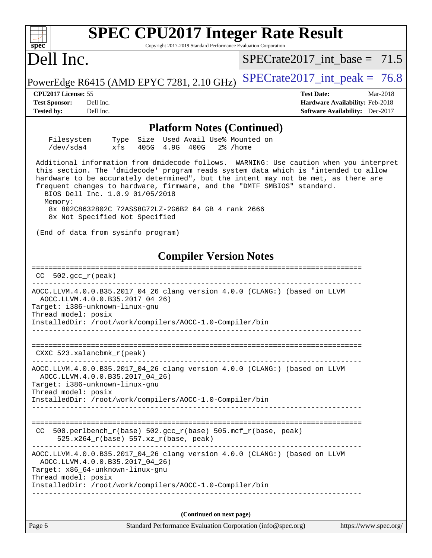| <b>SPEC CPU2017 Integer Rate Result</b>                                                                                                                                                                                                                                                                                                                                                                                                                                               |                                                                    |  |  |  |  |
|---------------------------------------------------------------------------------------------------------------------------------------------------------------------------------------------------------------------------------------------------------------------------------------------------------------------------------------------------------------------------------------------------------------------------------------------------------------------------------------|--------------------------------------------------------------------|--|--|--|--|
| Copyright 2017-2019 Standard Performance Evaluation Corporation<br>$spec^*$                                                                                                                                                                                                                                                                                                                                                                                                           |                                                                    |  |  |  |  |
| Dell Inc.                                                                                                                                                                                                                                                                                                                                                                                                                                                                             | $SPECrate2017$ _int_base = 71.5                                    |  |  |  |  |
| PowerEdge R6415 (AMD EPYC 7281, 2.10 GHz)                                                                                                                                                                                                                                                                                                                                                                                                                                             | $SPECTate2017\_int\_peak = 76.8$                                   |  |  |  |  |
| CPU2017 License: 55                                                                                                                                                                                                                                                                                                                                                                                                                                                                   | <b>Test Date:</b><br>Mar-2018                                      |  |  |  |  |
| <b>Test Sponsor:</b><br>Dell Inc.<br>Dell Inc.<br><b>Tested by:</b>                                                                                                                                                                                                                                                                                                                                                                                                                   | Hardware Availability: Feb-2018<br>Software Availability: Dec-2017 |  |  |  |  |
| <b>Platform Notes (Continued)</b>                                                                                                                                                                                                                                                                                                                                                                                                                                                     |                                                                    |  |  |  |  |
| Type Size Used Avail Use% Mounted on<br>Filesystem<br>/dev/sda4<br>xfs<br>405G 4.9G 400G<br>$2\%$ /home                                                                                                                                                                                                                                                                                                                                                                               |                                                                    |  |  |  |  |
| Additional information from dmidecode follows. WARNING: Use caution when you interpret<br>this section. The 'dmidecode' program reads system data which is "intended to allow<br>hardware to be accurately determined", but the intent may not be met, as there are<br>frequent changes to hardware, firmware, and the "DMTF SMBIOS" standard.<br>BIOS Dell Inc. 1.0.9 01/05/2018<br>Memory:<br>8x 802C8632802C 72ASS8G72LZ-2G6B2 64 GB 4 rank 2666<br>8x Not Specified Not Specified |                                                                    |  |  |  |  |
| (End of data from sysinfo program)                                                                                                                                                                                                                                                                                                                                                                                                                                                    |                                                                    |  |  |  |  |
| <b>Compiler Version Notes</b>                                                                                                                                                                                                                                                                                                                                                                                                                                                         |                                                                    |  |  |  |  |
| $CC$ 502.gcc $_r$ (peak)                                                                                                                                                                                                                                                                                                                                                                                                                                                              |                                                                    |  |  |  |  |
| AOCC.LLVM.4.0.0.B35.2017_04_26 clang version 4.0.0 (CLANG:) (based on LLVM<br>AOCC.LLVM.4.0.0.B35.2017_04_26)<br>Target: i386-unknown-linux-gnu<br>Thread model: posix<br>InstalledDir: /root/work/compilers/AOCC-1.0-Compiler/bin                                                                                                                                                                                                                                                    |                                                                    |  |  |  |  |
| ==================================<br>CXXC 523.xalancbmk_r(peak)                                                                                                                                                                                                                                                                                                                                                                                                                      |                                                                    |  |  |  |  |
| AOCC.LLVM.4.0.0.B35.2017_04_26 clang version 4.0.0 (CLANG:) (based on LLVM<br>AOCC.LLVM.4.0.0.B35.2017 04 26)<br>Target: i386-unknown-linux-gnu                                                                                                                                                                                                                                                                                                                                       |                                                                    |  |  |  |  |
| Thread model: posix<br>InstalledDir: /root/work/compilers/AOCC-1.0-Compiler/bin                                                                                                                                                                                                                                                                                                                                                                                                       |                                                                    |  |  |  |  |
|                                                                                                                                                                                                                                                                                                                                                                                                                                                                                       | -------------------------                                          |  |  |  |  |
| 500.perlbench_r(base) 502.gcc_r(base) 505.mcf_r(base, peak)<br>CC.<br>525.x264_r(base) 557.xz_r(base, peak)                                                                                                                                                                                                                                                                                                                                                                           |                                                                    |  |  |  |  |
| AOCC.LLVM.4.0.0.B35.2017_04_26 clang version 4.0.0 (CLANG:) (based on LLVM<br>AOCC.LLVM.4.0.0.B35.2017_04_26)<br>Target: x86_64-unknown-linux-gnu<br>Thread model: posix                                                                                                                                                                                                                                                                                                              |                                                                    |  |  |  |  |
| InstalledDir: /root/work/compilers/AOCC-1.0-Compiler/bin                                                                                                                                                                                                                                                                                                                                                                                                                              | -----------------                                                  |  |  |  |  |
|                                                                                                                                                                                                                                                                                                                                                                                                                                                                                       |                                                                    |  |  |  |  |
| (Continued on next page)                                                                                                                                                                                                                                                                                                                                                                                                                                                              |                                                                    |  |  |  |  |
| Standard Performance Evaluation Corporation (info@spec.org)<br>Page 6                                                                                                                                                                                                                                                                                                                                                                                                                 | https://www.spec.org/                                              |  |  |  |  |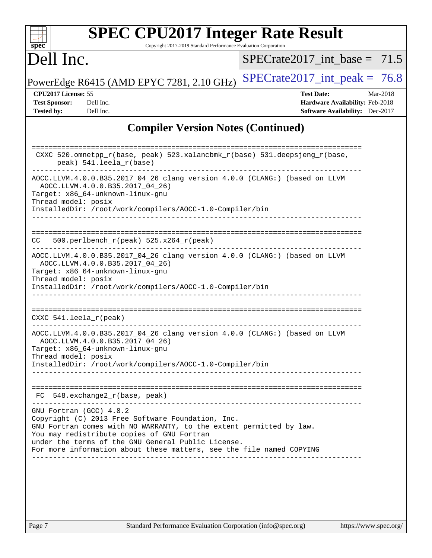|                                                                  |                                                                                                                                                                                                                               | $SPECrate2017$ int base = 71.5                                                                             |
|------------------------------------------------------------------|-------------------------------------------------------------------------------------------------------------------------------------------------------------------------------------------------------------------------------|------------------------------------------------------------------------------------------------------------|
| Dell Inc.                                                        |                                                                                                                                                                                                                               |                                                                                                            |
|                                                                  | PowerEdge R6415 (AMD EPYC 7281, 2.10 GHz)                                                                                                                                                                                     | $SPECrate2017\_int\_peak = 76.8$                                                                           |
| CPU2017 License: 55<br><b>Test Sponsor:</b><br><b>Tested by:</b> | Dell Inc.<br>Dell Inc.                                                                                                                                                                                                        | <b>Test Date:</b><br>Mar-2018<br>Hardware Availability: Feb-2018<br><b>Software Availability:</b> Dec-2017 |
|                                                                  |                                                                                                                                                                                                                               | <b>Compiler Version Notes (Continued)</b>                                                                  |
|                                                                  | peak) 541.leela_r(base)                                                                                                                                                                                                       | CXXC 520.omnetpp_r(base, peak) 523.xalancbmk_r(base) 531.deepsjeng_r(base,                                 |
| Thread model: posix                                              | AOCC.LLVM.4.0.0.B35.2017_04_26)<br>Target: x86_64-unknown-linux-gnu                                                                                                                                                           | AOCC.LLVM.4.0.0.B35.2017_04_26 clang version 4.0.0 (CLANG:) (based on LLVM                                 |
|                                                                  | InstalledDir: /root/work/compilers/AOCC-1.0-Compiler/bin                                                                                                                                                                      |                                                                                                            |
| CC.                                                              | $500. perlbench_r (peak) 525.x264_r (peak)$                                                                                                                                                                                   |                                                                                                            |
| Thread model: posix                                              | AOCC.LLVM.4.0.0.B35.2017_04_26)<br>Target: x86_64-unknown-linux-gnu<br>InstalledDir: /root/work/compilers/AOCC-1.0-Compiler/bin                                                                                               | AOCC.LLVM.4.0.0.B35.2017_04_26 clang version 4.0.0 (CLANG:) (based on LLVM                                 |
| CXXC $541.$ leela_r(peak)                                        |                                                                                                                                                                                                                               |                                                                                                            |
| Thread model: posix                                              | AOCC.LLVM.4.0.0.B35.2017_04_26)<br>Target: x86_64-unknown-linux-gnu<br>InstalledDir: /root/work/compilers/AOCC-1.0-Compiler/bin                                                                                               | AOCC.LLVM.4.0.0.B35.2017_04_26 clang version 4.0.0 (CLANG:) (based on LLVM                                 |
|                                                                  |                                                                                                                                                                                                                               |                                                                                                            |
|                                                                  | $FC 548. exchange2_r(base, peak)$                                                                                                                                                                                             |                                                                                                            |
| GNU Fortran (GCC) 4.8.2                                          | Copyright (C) 2013 Free Software Foundation, Inc.<br>You may redistribute copies of GNU Fortran<br>under the terms of the GNU General Public License.<br>For more information about these matters, see the file named COPYING | GNU Fortran comes with NO WARRANTY, to the extent permitted by law.                                        |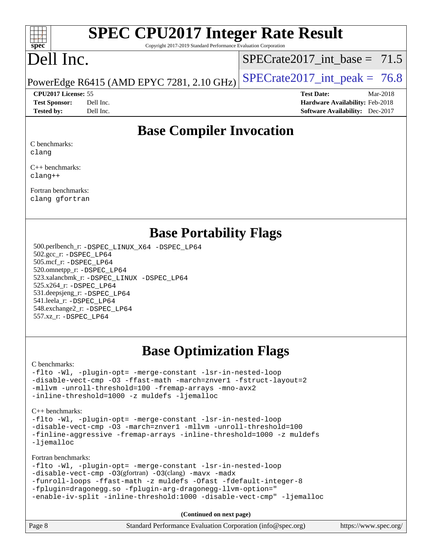

Copyright 2017-2019 Standard Performance Evaluation Corporation

# Dell Inc.

SPECrate2017 int\_base =  $71.5$ 

PowerEdge R6415 (AMD EPYC 7281, 2.10 GHz)  $\left|$  [SPECrate2017\\_int\\_peak =](http://www.spec.org/auto/cpu2017/Docs/result-fields.html#SPECrate2017intpeak) 76.8

**[CPU2017 License:](http://www.spec.org/auto/cpu2017/Docs/result-fields.html#CPU2017License)** 55 **[Test Date:](http://www.spec.org/auto/cpu2017/Docs/result-fields.html#TestDate)** Mar-2018 **[Test Sponsor:](http://www.spec.org/auto/cpu2017/Docs/result-fields.html#TestSponsor)** Dell Inc. **[Hardware Availability:](http://www.spec.org/auto/cpu2017/Docs/result-fields.html#HardwareAvailability)** Feb-2018 **[Tested by:](http://www.spec.org/auto/cpu2017/Docs/result-fields.html#Testedby)** Dell Inc. **[Software Availability:](http://www.spec.org/auto/cpu2017/Docs/result-fields.html#SoftwareAvailability)** Dec-2017

## **[Base Compiler Invocation](http://www.spec.org/auto/cpu2017/Docs/result-fields.html#BaseCompilerInvocation)**

[C benchmarks:](http://www.spec.org/auto/cpu2017/Docs/result-fields.html#Cbenchmarks) [clang](http://www.spec.org/cpu2017/results/res2018q2/cpu2017-20180319-04049.flags.html#user_CCbase_Fclang3)

[C++ benchmarks:](http://www.spec.org/auto/cpu2017/Docs/result-fields.html#CXXbenchmarks) [clang++](http://www.spec.org/cpu2017/results/res2018q2/cpu2017-20180319-04049.flags.html#user_CXXbase_Fclang3_57a48582e5be507d19b2527b3e7d4f85d9b8669ffc9a8a0dbb9bcf949a918a58bbab411e0c4d14a3922022a3e425a90db94042683824c1806feff4324ca1000d)

[Fortran benchmarks](http://www.spec.org/auto/cpu2017/Docs/result-fields.html#Fortranbenchmarks): [clang](http://www.spec.org/cpu2017/results/res2018q2/cpu2017-20180319-04049.flags.html#user_FCbase_Fclang3) [gfortran](http://www.spec.org/cpu2017/results/res2018q2/cpu2017-20180319-04049.flags.html#user_FCbase_gfortran)

### **[Base Portability Flags](http://www.spec.org/auto/cpu2017/Docs/result-fields.html#BasePortabilityFlags)**

 500.perlbench\_r: [-DSPEC\\_LINUX\\_X64](http://www.spec.org/cpu2017/results/res2018q2/cpu2017-20180319-04049.flags.html#b500.perlbench_r_basePORTABILITY_DSPEC_LINUX_X64) [-DSPEC\\_LP64](http://www.spec.org/cpu2017/results/res2018q2/cpu2017-20180319-04049.flags.html#b500.perlbench_r_baseEXTRA_PORTABILITY_DSPEC_LP64) 502.gcc\_r: [-DSPEC\\_LP64](http://www.spec.org/cpu2017/results/res2018q2/cpu2017-20180319-04049.flags.html#suite_baseEXTRA_PORTABILITY502_gcc_r_DSPEC_LP64) 505.mcf\_r: [-DSPEC\\_LP64](http://www.spec.org/cpu2017/results/res2018q2/cpu2017-20180319-04049.flags.html#suite_baseEXTRA_PORTABILITY505_mcf_r_DSPEC_LP64) 520.omnetpp\_r: [-DSPEC\\_LP64](http://www.spec.org/cpu2017/results/res2018q2/cpu2017-20180319-04049.flags.html#suite_baseEXTRA_PORTABILITY520_omnetpp_r_DSPEC_LP64) 523.xalancbmk\_r: [-DSPEC\\_LINUX](http://www.spec.org/cpu2017/results/res2018q2/cpu2017-20180319-04049.flags.html#b523.xalancbmk_r_basePORTABILITY_DSPEC_LINUX) [-DSPEC\\_LP64](http://www.spec.org/cpu2017/results/res2018q2/cpu2017-20180319-04049.flags.html#suite_baseEXTRA_PORTABILITY523_xalancbmk_r_DSPEC_LP64) 525.x264\_r: [-DSPEC\\_LP64](http://www.spec.org/cpu2017/results/res2018q2/cpu2017-20180319-04049.flags.html#suite_baseEXTRA_PORTABILITY525_x264_r_DSPEC_LP64) 531.deepsjeng\_r: [-DSPEC\\_LP64](http://www.spec.org/cpu2017/results/res2018q2/cpu2017-20180319-04049.flags.html#suite_baseEXTRA_PORTABILITY531_deepsjeng_r_DSPEC_LP64) 541.leela\_r: [-DSPEC\\_LP64](http://www.spec.org/cpu2017/results/res2018q2/cpu2017-20180319-04049.flags.html#suite_baseEXTRA_PORTABILITY541_leela_r_DSPEC_LP64) 548.exchange2\_r: [-DSPEC\\_LP64](http://www.spec.org/cpu2017/results/res2018q2/cpu2017-20180319-04049.flags.html#suite_baseEXTRA_PORTABILITY548_exchange2_r_DSPEC_LP64) 557.xz\_r: [-DSPEC\\_LP64](http://www.spec.org/cpu2017/results/res2018q2/cpu2017-20180319-04049.flags.html#suite_baseEXTRA_PORTABILITY557_xz_r_DSPEC_LP64)

# **[Base Optimization Flags](http://www.spec.org/auto/cpu2017/Docs/result-fields.html#BaseOptimizationFlags)**

[C benchmarks](http://www.spec.org/auto/cpu2017/Docs/result-fields.html#Cbenchmarks):

[-flto](http://www.spec.org/cpu2017/results/res2018q2/cpu2017-20180319-04049.flags.html#user_CCbase_F-flto) [-Wl,](http://www.spec.org/cpu2017/results/res2018q2/cpu2017-20180319-04049.flags.html#user_CCbase_F-Wl_5f669859b7c1a0295edc4f5fd536c381023f180a987810cb5cfa1d9467a27ac14b13770b9732d7618b24fc778f3dfdf68b65521d505fc870281e0142944925a0) [-plugin-opt=](http://www.spec.org/cpu2017/results/res2018q2/cpu2017-20180319-04049.flags.html#user_CCbase_F-plugin-opt_772899571bb6157e4b8feeb3276e6c06dec41c1bbb0aa637c8700742a4baaf7e7b56061e32ae2365a76a44d8c448177ca3ee066cdf7537598ff772fc461942c2) [-merge-constant](http://www.spec.org/cpu2017/results/res2018q2/cpu2017-20180319-04049.flags.html#user_CCbase_F-merge-constant_bdb3ec75d21d5cf0ab1961ebe7105d0ea3b0c6d89a312cf7efc1d107e6c56c92c36b5d564d0702d1e2526f6b92f188b4413eb5a54b1f9e4a41f5a9bfc0233b92) [-lsr-in-nested-loop](http://www.spec.org/cpu2017/results/res2018q2/cpu2017-20180319-04049.flags.html#user_CCbase_F-lsr-in-nested-loop) [-disable-vect-cmp](http://www.spec.org/cpu2017/results/res2018q2/cpu2017-20180319-04049.flags.html#user_CCbase_F-disable-vect-cmp) [-O3](http://www.spec.org/cpu2017/results/res2018q2/cpu2017-20180319-04049.flags.html#user_CCbase_F-O3) [-ffast-math](http://www.spec.org/cpu2017/results/res2018q2/cpu2017-20180319-04049.flags.html#user_CCbase_F-ffast-math) [-march=znver1](http://www.spec.org/cpu2017/results/res2018q2/cpu2017-20180319-04049.flags.html#user_CCbase_march_082ab2c5e8f99f69c47c63adfdc26f9617958cc68d0b5dbfb7aa6935cde4c91d5d9c2fdc24e6781fa8a0299196f2f4ca8e995f825d797de797910507b4251bb3) [-fstruct-layout=2](http://www.spec.org/cpu2017/results/res2018q2/cpu2017-20180319-04049.flags.html#user_CCbase_F-fstruct-layout_a05ec02e17cdf7fe0c3950a6b005251b2b1e5e67af2b5298cf72714730c3d59ba290e75546b10aa22dac074c15ceaca36ae22c62cb51bcb2fbdc9dc4e7e222c4) [-mllvm](http://www.spec.org/cpu2017/results/res2018q2/cpu2017-20180319-04049.flags.html#user_CCbase_F-mllvm_76e3f86ef8d8cc4dfa84cec42d531db351fee284f72cd5d644b5bdbef9c2604296512be6a431d9e19d0523544399ea9dd745afc2fff755a0705d428460dc659e) [-unroll-threshold=100](http://www.spec.org/cpu2017/results/res2018q2/cpu2017-20180319-04049.flags.html#user_CCbase_F-unroll-threshold) [-fremap-arrays](http://www.spec.org/cpu2017/results/res2018q2/cpu2017-20180319-04049.flags.html#user_CCbase_F-fremap-arrays) [-mno-avx2](http://www.spec.org/cpu2017/results/res2018q2/cpu2017-20180319-04049.flags.html#user_CCbase_F-mno-avx2) [-inline-threshold=1000](http://www.spec.org/cpu2017/results/res2018q2/cpu2017-20180319-04049.flags.html#user_CCbase_F-inline-threshold_1daf3e0321a7a0c1ea19068c818f3f119b1e5dfc986cc791557791f4b93536c1546ba0c8585f62303269f504aa232e0ca278e8489928152e32e0752215741730) [-z muldefs](http://www.spec.org/cpu2017/results/res2018q2/cpu2017-20180319-04049.flags.html#user_CCbase_zmuldefs) [-ljemalloc](http://www.spec.org/cpu2017/results/res2018q2/cpu2017-20180319-04049.flags.html#user_CCbase_F-ljemalloc)

[C++ benchmarks:](http://www.spec.org/auto/cpu2017/Docs/result-fields.html#CXXbenchmarks)

[-flto](http://www.spec.org/cpu2017/results/res2018q2/cpu2017-20180319-04049.flags.html#user_CXXbase_F-flto) [-Wl,](http://www.spec.org/cpu2017/results/res2018q2/cpu2017-20180319-04049.flags.html#user_CXXbase_F-Wl_5f669859b7c1a0295edc4f5fd536c381023f180a987810cb5cfa1d9467a27ac14b13770b9732d7618b24fc778f3dfdf68b65521d505fc870281e0142944925a0) [-plugin-opt=](http://www.spec.org/cpu2017/results/res2018q2/cpu2017-20180319-04049.flags.html#user_CXXbase_F-plugin-opt_772899571bb6157e4b8feeb3276e6c06dec41c1bbb0aa637c8700742a4baaf7e7b56061e32ae2365a76a44d8c448177ca3ee066cdf7537598ff772fc461942c2) [-merge-constant](http://www.spec.org/cpu2017/results/res2018q2/cpu2017-20180319-04049.flags.html#user_CXXbase_F-merge-constant_bdb3ec75d21d5cf0ab1961ebe7105d0ea3b0c6d89a312cf7efc1d107e6c56c92c36b5d564d0702d1e2526f6b92f188b4413eb5a54b1f9e4a41f5a9bfc0233b92) [-lsr-in-nested-loop](http://www.spec.org/cpu2017/results/res2018q2/cpu2017-20180319-04049.flags.html#user_CXXbase_F-lsr-in-nested-loop) [-disable-vect-cmp](http://www.spec.org/cpu2017/results/res2018q2/cpu2017-20180319-04049.flags.html#user_CXXbase_F-disable-vect-cmp) [-O3](http://www.spec.org/cpu2017/results/res2018q2/cpu2017-20180319-04049.flags.html#user_CXXbase_F-O3) [-march=znver1](http://www.spec.org/cpu2017/results/res2018q2/cpu2017-20180319-04049.flags.html#user_CXXbase_march_082ab2c5e8f99f69c47c63adfdc26f9617958cc68d0b5dbfb7aa6935cde4c91d5d9c2fdc24e6781fa8a0299196f2f4ca8e995f825d797de797910507b4251bb3) [-mllvm](http://www.spec.org/cpu2017/results/res2018q2/cpu2017-20180319-04049.flags.html#user_CXXbase_F-mllvm_76e3f86ef8d8cc4dfa84cec42d531db351fee284f72cd5d644b5bdbef9c2604296512be6a431d9e19d0523544399ea9dd745afc2fff755a0705d428460dc659e) [-unroll-threshold=100](http://www.spec.org/cpu2017/results/res2018q2/cpu2017-20180319-04049.flags.html#user_CXXbase_F-unroll-threshold) [-finline-aggressive](http://www.spec.org/cpu2017/results/res2018q2/cpu2017-20180319-04049.flags.html#user_CXXbase_F-finline-aggressive) [-fremap-arrays](http://www.spec.org/cpu2017/results/res2018q2/cpu2017-20180319-04049.flags.html#user_CXXbase_F-fremap-arrays) [-inline-threshold=1000](http://www.spec.org/cpu2017/results/res2018q2/cpu2017-20180319-04049.flags.html#user_CXXbase_F-inline-threshold_1daf3e0321a7a0c1ea19068c818f3f119b1e5dfc986cc791557791f4b93536c1546ba0c8585f62303269f504aa232e0ca278e8489928152e32e0752215741730) [-z muldefs](http://www.spec.org/cpu2017/results/res2018q2/cpu2017-20180319-04049.flags.html#user_CXXbase_zmuldefs) [-ljemalloc](http://www.spec.org/cpu2017/results/res2018q2/cpu2017-20180319-04049.flags.html#user_CXXbase_F-ljemalloc)

[Fortran benchmarks](http://www.spec.org/auto/cpu2017/Docs/result-fields.html#Fortranbenchmarks):

[-flto](http://www.spec.org/cpu2017/results/res2018q2/cpu2017-20180319-04049.flags.html#user_FCbase_F-flto) [-Wl,](http://www.spec.org/cpu2017/results/res2018q2/cpu2017-20180319-04049.flags.html#user_FCbase_F-Wl_5f669859b7c1a0295edc4f5fd536c381023f180a987810cb5cfa1d9467a27ac14b13770b9732d7618b24fc778f3dfdf68b65521d505fc870281e0142944925a0) [-plugin-opt=](http://www.spec.org/cpu2017/results/res2018q2/cpu2017-20180319-04049.flags.html#user_FCbase_F-plugin-opt_772899571bb6157e4b8feeb3276e6c06dec41c1bbb0aa637c8700742a4baaf7e7b56061e32ae2365a76a44d8c448177ca3ee066cdf7537598ff772fc461942c2) [-merge-constant](http://www.spec.org/cpu2017/results/res2018q2/cpu2017-20180319-04049.flags.html#user_FCbase_F-merge-constant_bdb3ec75d21d5cf0ab1961ebe7105d0ea3b0c6d89a312cf7efc1d107e6c56c92c36b5d564d0702d1e2526f6b92f188b4413eb5a54b1f9e4a41f5a9bfc0233b92) [-lsr-in-nested-loop](http://www.spec.org/cpu2017/results/res2018q2/cpu2017-20180319-04049.flags.html#user_FCbase_F-lsr-in-nested-loop)

[-disable-vect-cmp](http://www.spec.org/cpu2017/results/res2018q2/cpu2017-20180319-04049.flags.html#user_FCbase_F-disable-vect-cmp) [-O3](http://www.spec.org/cpu2017/results/res2018q2/cpu2017-20180319-04049.flags.html#user_FCbase_Olevel-gcc_2a8c613e11e2962ae78d693398304d6f1c12fa10320380cff05dd109643c60bb04214353a55f02d8022371d19f6dd940085da69c3a4516b2b7029e64f867e782)(gfortran) [-O3](http://www.spec.org/cpu2017/results/res2018q2/cpu2017-20180319-04049.flags.html#user_FCbase_F-O3)(clang) [-mavx](http://www.spec.org/cpu2017/results/res2018q2/cpu2017-20180319-04049.flags.html#user_FCbase_F-mavx) [-madx](http://www.spec.org/cpu2017/results/res2018q2/cpu2017-20180319-04049.flags.html#user_FCbase_F-madx)

[-funroll-loops](http://www.spec.org/cpu2017/results/res2018q2/cpu2017-20180319-04049.flags.html#user_FCbase_F-funroll-loops) [-ffast-math](http://www.spec.org/cpu2017/results/res2018q2/cpu2017-20180319-04049.flags.html#user_FCbase_F-ffast-math) [-z muldefs](http://www.spec.org/cpu2017/results/res2018q2/cpu2017-20180319-04049.flags.html#user_FCbase_zmuldefs) [-Ofast](http://www.spec.org/cpu2017/results/res2018q2/cpu2017-20180319-04049.flags.html#user_FCbase_F-Ofast) [-fdefault-integer-8](http://www.spec.org/cpu2017/results/res2018q2/cpu2017-20180319-04049.flags.html#user_FCbase_F-fdefault-integer-8) [-fplugin=dragonegg.so](http://www.spec.org/cpu2017/results/res2018q2/cpu2017-20180319-04049.flags.html#user_FCbase_F-fpluginDragonEgg) [-fplugin-arg-dragonegg-llvm-option="](http://www.spec.org/cpu2017/results/res2018q2/cpu2017-20180319-04049.flags.html#user_FCbase_F-fplugin-arg-dragonegg-llvm-option_98400a9ab866ed0085f1e7306b6fe3b9aac45e0c6ce6c4c776296af40a6f95ac09a5771072dd0b0cdcb566a3e79e79d2a726fc48d436745311228115dad9979d)

[-enable-iv-split](http://www.spec.org/cpu2017/results/res2018q2/cpu2017-20180319-04049.flags.html#user_FCbase_F-enable-iv-split) [-inline-threshold:1000](http://www.spec.org/cpu2017/results/res2018q2/cpu2017-20180319-04049.flags.html#user_FCbase_F-dragonegg-llvm-inline-threshold_aa239847abba08b4fba7c30a23f09e702847eca9c932ccbab9b5a98e59cdcbf3c2e1c25e08a0c44d3e4949b21c0afb0ca84a2f3587da11db66c46a8d7dd698b3) [-disable-vect-cmp"](http://www.spec.org/cpu2017/results/res2018q2/cpu2017-20180319-04049.flags.html#user_FCbase_F-dragonegg-llvm-disable-vect-cmp_6cf351a29613b68bfdbd040d3e22ab0ce250093fe1c4f1b0b3e19cc513bf9fe59893782c14402abfbebd018ed2d47d139a1a3c59a802b3eac454540228820b23) [-ljemalloc](http://www.spec.org/cpu2017/results/res2018q2/cpu2017-20180319-04049.flags.html#user_FCbase_F-ljemalloc)

**(Continued on next page)**

| Page 8 | Standard Performance Evaluation Corporation (info@spec.org) | https://www.spec.org/ |
|--------|-------------------------------------------------------------|-----------------------|
|--------|-------------------------------------------------------------|-----------------------|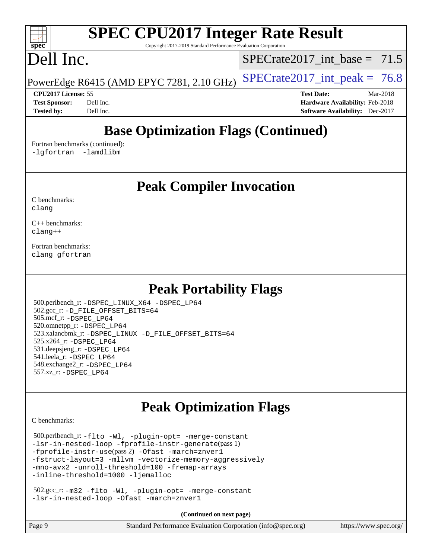Copyright 2017-2019 Standard Performance Evaluation Corporation

# Dell Inc.

**[spec](http://www.spec.org/)**

 $\pm$   $\prime$ 

SPECrate2017 int\_base =  $71.5$ 

PowerEdge R6415 (AMD EPYC 7281, 2.10 GHz)  $\left|$  [SPECrate2017\\_int\\_peak =](http://www.spec.org/auto/cpu2017/Docs/result-fields.html#SPECrate2017intpeak) 76.8

**[CPU2017 License:](http://www.spec.org/auto/cpu2017/Docs/result-fields.html#CPU2017License)** 55 **[Test Date:](http://www.spec.org/auto/cpu2017/Docs/result-fields.html#TestDate)** Mar-2018 **[Test Sponsor:](http://www.spec.org/auto/cpu2017/Docs/result-fields.html#TestSponsor)** Dell Inc. **[Hardware Availability:](http://www.spec.org/auto/cpu2017/Docs/result-fields.html#HardwareAvailability)** Feb-2018 **[Tested by:](http://www.spec.org/auto/cpu2017/Docs/result-fields.html#Testedby)** Dell Inc. **[Software Availability:](http://www.spec.org/auto/cpu2017/Docs/result-fields.html#SoftwareAvailability)** Dec-2017

# **[Base Optimization Flags \(Continued\)](http://www.spec.org/auto/cpu2017/Docs/result-fields.html#BaseOptimizationFlags)**

[Fortran benchmarks](http://www.spec.org/auto/cpu2017/Docs/result-fields.html#Fortranbenchmarks) (continued): [-lgfortran](http://www.spec.org/cpu2017/results/res2018q2/cpu2017-20180319-04049.flags.html#user_FCbase_F-lgfortran_aee53aa7918ae35ea4e5035d616421204ae8a638c05873868b1aa8743e73ef3f738c1d9cddaea8bce7f96e18015ec2f72d6588008f90a113075c46bd34a5e3c3) [-lamdlibm](http://www.spec.org/cpu2017/results/res2018q2/cpu2017-20180319-04049.flags.html#user_FCbase_F-lamdlibm_1db3d84841b8a1b4efe9441895380ccb52ec69ae4c885fce609f880d1f58d8b3c2693ad984247faf1d5c0b0abc492f2987ed2911d4dbfc830003ff87fe5a2273) 

## **[Peak Compiler Invocation](http://www.spec.org/auto/cpu2017/Docs/result-fields.html#PeakCompilerInvocation)**

[C benchmarks](http://www.spec.org/auto/cpu2017/Docs/result-fields.html#Cbenchmarks): [clang](http://www.spec.org/cpu2017/results/res2018q2/cpu2017-20180319-04049.flags.html#user_CCpeak_Fclang3)

[C++ benchmarks:](http://www.spec.org/auto/cpu2017/Docs/result-fields.html#CXXbenchmarks) [clang++](http://www.spec.org/cpu2017/results/res2018q2/cpu2017-20180319-04049.flags.html#user_CXXpeak_Fclang3_57a48582e5be507d19b2527b3e7d4f85d9b8669ffc9a8a0dbb9bcf949a918a58bbab411e0c4d14a3922022a3e425a90db94042683824c1806feff4324ca1000d)

[Fortran benchmarks](http://www.spec.org/auto/cpu2017/Docs/result-fields.html#Fortranbenchmarks): [clang](http://www.spec.org/cpu2017/results/res2018q2/cpu2017-20180319-04049.flags.html#user_FCpeak_Fclang3) [gfortran](http://www.spec.org/cpu2017/results/res2018q2/cpu2017-20180319-04049.flags.html#user_FCpeak_gfortran)

## **[Peak Portability Flags](http://www.spec.org/auto/cpu2017/Docs/result-fields.html#PeakPortabilityFlags)**

 500.perlbench\_r: [-DSPEC\\_LINUX\\_X64](http://www.spec.org/cpu2017/results/res2018q2/cpu2017-20180319-04049.flags.html#b500.perlbench_r_peakPORTABILITY_DSPEC_LINUX_X64) [-DSPEC\\_LP64](http://www.spec.org/cpu2017/results/res2018q2/cpu2017-20180319-04049.flags.html#b500.perlbench_r_peakEXTRA_PORTABILITY_DSPEC_LP64) 502.gcc\_r: [-D\\_FILE\\_OFFSET\\_BITS=64](http://www.spec.org/cpu2017/results/res2018q2/cpu2017-20180319-04049.flags.html#user_peakEXTRA_PORTABILITY502_gcc_r_F-D_FILE_OFFSET_BITS:64) 505.mcf\_r: [-DSPEC\\_LP64](http://www.spec.org/cpu2017/results/res2018q2/cpu2017-20180319-04049.flags.html#suite_peakEXTRA_PORTABILITY505_mcf_r_DSPEC_LP64) 520.omnetpp\_r: [-DSPEC\\_LP64](http://www.spec.org/cpu2017/results/res2018q2/cpu2017-20180319-04049.flags.html#suite_peakEXTRA_PORTABILITY520_omnetpp_r_DSPEC_LP64) 523.xalancbmk\_r: [-DSPEC\\_LINUX](http://www.spec.org/cpu2017/results/res2018q2/cpu2017-20180319-04049.flags.html#b523.xalancbmk_r_peakPORTABILITY_DSPEC_LINUX) [-D\\_FILE\\_OFFSET\\_BITS=64](http://www.spec.org/cpu2017/results/res2018q2/cpu2017-20180319-04049.flags.html#user_peakEXTRA_PORTABILITY523_xalancbmk_r_F-D_FILE_OFFSET_BITS:64) 525.x264\_r: [-DSPEC\\_LP64](http://www.spec.org/cpu2017/results/res2018q2/cpu2017-20180319-04049.flags.html#suite_peakEXTRA_PORTABILITY525_x264_r_DSPEC_LP64) 531.deepsjeng\_r: [-DSPEC\\_LP64](http://www.spec.org/cpu2017/results/res2018q2/cpu2017-20180319-04049.flags.html#suite_peakEXTRA_PORTABILITY531_deepsjeng_r_DSPEC_LP64) 541.leela\_r: [-DSPEC\\_LP64](http://www.spec.org/cpu2017/results/res2018q2/cpu2017-20180319-04049.flags.html#suite_peakEXTRA_PORTABILITY541_leela_r_DSPEC_LP64) 548.exchange2\_r: [-DSPEC\\_LP64](http://www.spec.org/cpu2017/results/res2018q2/cpu2017-20180319-04049.flags.html#suite_peakEXTRA_PORTABILITY548_exchange2_r_DSPEC_LP64) 557.xz\_r: [-DSPEC\\_LP64](http://www.spec.org/cpu2017/results/res2018q2/cpu2017-20180319-04049.flags.html#suite_peakEXTRA_PORTABILITY557_xz_r_DSPEC_LP64)

# **[Peak Optimization Flags](http://www.spec.org/auto/cpu2017/Docs/result-fields.html#PeakOptimizationFlags)**

[C benchmarks](http://www.spec.org/auto/cpu2017/Docs/result-fields.html#Cbenchmarks):

 500.perlbench\_r: [-flto](http://www.spec.org/cpu2017/results/res2018q2/cpu2017-20180319-04049.flags.html#user_peakCOPTIMIZEEXTRA_LDFLAGS500_perlbench_r_F-flto) [-Wl,](http://www.spec.org/cpu2017/results/res2018q2/cpu2017-20180319-04049.flags.html#user_peakEXTRA_LDFLAGS500_perlbench_r_F-Wl_5f669859b7c1a0295edc4f5fd536c381023f180a987810cb5cfa1d9467a27ac14b13770b9732d7618b24fc778f3dfdf68b65521d505fc870281e0142944925a0) [-plugin-opt=](http://www.spec.org/cpu2017/results/res2018q2/cpu2017-20180319-04049.flags.html#user_peakEXTRA_LDFLAGS500_perlbench_r_F-plugin-opt_772899571bb6157e4b8feeb3276e6c06dec41c1bbb0aa637c8700742a4baaf7e7b56061e32ae2365a76a44d8c448177ca3ee066cdf7537598ff772fc461942c2) [-merge-constant](http://www.spec.org/cpu2017/results/res2018q2/cpu2017-20180319-04049.flags.html#user_peakEXTRA_LDFLAGS500_perlbench_r_F-merge-constant_bdb3ec75d21d5cf0ab1961ebe7105d0ea3b0c6d89a312cf7efc1d107e6c56c92c36b5d564d0702d1e2526f6b92f188b4413eb5a54b1f9e4a41f5a9bfc0233b92) [-lsr-in-nested-loop](http://www.spec.org/cpu2017/results/res2018q2/cpu2017-20180319-04049.flags.html#user_peakEXTRA_LDFLAGS500_perlbench_r_F-lsr-in-nested-loop) [-fprofile-instr-generate](http://www.spec.org/cpu2017/results/res2018q2/cpu2017-20180319-04049.flags.html#user_peakPASS1_CFLAGSPASS1_LDFLAGS500_perlbench_r_F-fprofile-instr-generate)(pass 1) [-fprofile-instr-use](http://www.spec.org/cpu2017/results/res2018q2/cpu2017-20180319-04049.flags.html#user_peakPASS2_CFLAGSPASS2_LDFLAGS500_perlbench_r_F-fprofile-instr-use)(pass 2) [-Ofast](http://www.spec.org/cpu2017/results/res2018q2/cpu2017-20180319-04049.flags.html#user_peakCOPTIMIZE500_perlbench_r_F-Ofast) [-march=znver1](http://www.spec.org/cpu2017/results/res2018q2/cpu2017-20180319-04049.flags.html#user_peakCOPTIMIZE500_perlbench_r_march_082ab2c5e8f99f69c47c63adfdc26f9617958cc68d0b5dbfb7aa6935cde4c91d5d9c2fdc24e6781fa8a0299196f2f4ca8e995f825d797de797910507b4251bb3) [-fstruct-layout=3](http://www.spec.org/cpu2017/results/res2018q2/cpu2017-20180319-04049.flags.html#user_peakCOPTIMIZE500_perlbench_r_F-fstruct-layout) [-mllvm](http://www.spec.org/cpu2017/results/res2018q2/cpu2017-20180319-04049.flags.html#user_peakCOPTIMIZE500_perlbench_r_F-mllvm_76e3f86ef8d8cc4dfa84cec42d531db351fee284f72cd5d644b5bdbef9c2604296512be6a431d9e19d0523544399ea9dd745afc2fff755a0705d428460dc659e) [-vectorize-memory-aggressively](http://www.spec.org/cpu2017/results/res2018q2/cpu2017-20180319-04049.flags.html#user_peakCOPTIMIZE500_perlbench_r_F-vectorize-memory-aggressively) [-mno-avx2](http://www.spec.org/cpu2017/results/res2018q2/cpu2017-20180319-04049.flags.html#user_peakCOPTIMIZE500_perlbench_r_F-mno-avx2) [-unroll-threshold=100](http://www.spec.org/cpu2017/results/res2018q2/cpu2017-20180319-04049.flags.html#user_peakCOPTIMIZE500_perlbench_r_F-unroll-threshold) [-fremap-arrays](http://www.spec.org/cpu2017/results/res2018q2/cpu2017-20180319-04049.flags.html#user_peakCOPTIMIZE500_perlbench_r_F-fremap-arrays) [-inline-threshold=1000](http://www.spec.org/cpu2017/results/res2018q2/cpu2017-20180319-04049.flags.html#user_peakCOPTIMIZE500_perlbench_r_F-inline-threshold_1daf3e0321a7a0c1ea19068c818f3f119b1e5dfc986cc791557791f4b93536c1546ba0c8585f62303269f504aa232e0ca278e8489928152e32e0752215741730) [-ljemalloc](http://www.spec.org/cpu2017/results/res2018q2/cpu2017-20180319-04049.flags.html#user_peakEXTRA_LIBS500_perlbench_r_F-ljemalloc)

 502.gcc\_r: [-m32](http://www.spec.org/cpu2017/results/res2018q2/cpu2017-20180319-04049.flags.html#user_peakCCLD502_gcc_r_F-m32) [-flto](http://www.spec.org/cpu2017/results/res2018q2/cpu2017-20180319-04049.flags.html#user_peakCOPTIMIZEEXTRA_LDFLAGS502_gcc_r_F-flto) [-Wl,](http://www.spec.org/cpu2017/results/res2018q2/cpu2017-20180319-04049.flags.html#user_peakEXTRA_LDFLAGS502_gcc_r_F-Wl_5f669859b7c1a0295edc4f5fd536c381023f180a987810cb5cfa1d9467a27ac14b13770b9732d7618b24fc778f3dfdf68b65521d505fc870281e0142944925a0) [-plugin-opt=](http://www.spec.org/cpu2017/results/res2018q2/cpu2017-20180319-04049.flags.html#user_peakEXTRA_LDFLAGS502_gcc_r_F-plugin-opt_772899571bb6157e4b8feeb3276e6c06dec41c1bbb0aa637c8700742a4baaf7e7b56061e32ae2365a76a44d8c448177ca3ee066cdf7537598ff772fc461942c2) [-merge-constant](http://www.spec.org/cpu2017/results/res2018q2/cpu2017-20180319-04049.flags.html#user_peakEXTRA_LDFLAGS502_gcc_r_F-merge-constant_bdb3ec75d21d5cf0ab1961ebe7105d0ea3b0c6d89a312cf7efc1d107e6c56c92c36b5d564d0702d1e2526f6b92f188b4413eb5a54b1f9e4a41f5a9bfc0233b92) [-lsr-in-nested-loop](http://www.spec.org/cpu2017/results/res2018q2/cpu2017-20180319-04049.flags.html#user_peakEXTRA_LDFLAGS502_gcc_r_F-lsr-in-nested-loop) [-Ofast](http://www.spec.org/cpu2017/results/res2018q2/cpu2017-20180319-04049.flags.html#user_peakCOPTIMIZE502_gcc_r_F-Ofast) [-march=znver1](http://www.spec.org/cpu2017/results/res2018q2/cpu2017-20180319-04049.flags.html#user_peakCOPTIMIZE502_gcc_r_march_082ab2c5e8f99f69c47c63adfdc26f9617958cc68d0b5dbfb7aa6935cde4c91d5d9c2fdc24e6781fa8a0299196f2f4ca8e995f825d797de797910507b4251bb3)

**(Continued on next page)**

| Standard Performance Evaluation Corporation (info@spec.org)<br>Page 9 | https://www.spec.org/ |
|-----------------------------------------------------------------------|-----------------------|
|-----------------------------------------------------------------------|-----------------------|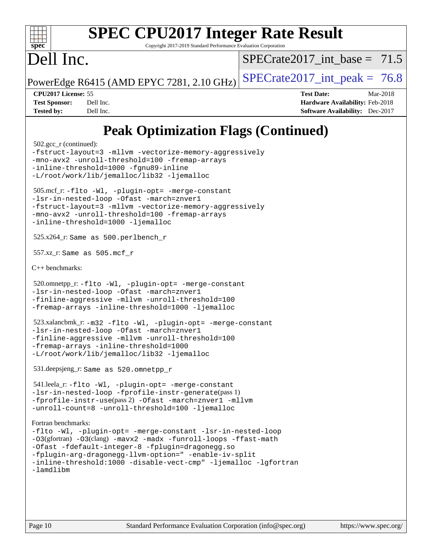| s<br>оe<br>O, |  |  |  |  |  |  |
|---------------|--|--|--|--|--|--|

Copyright 2017-2019 Standard Performance Evaluation Corporation

# Dell Inc.

SPECrate2017 int\_base =  $71.5$ 

PowerEdge R6415 (AMD EPYC 7281, 2.10 GHz)  $\text{SPECrate}2017\_int\_peak = 76.8$ 

**[CPU2017 License:](http://www.spec.org/auto/cpu2017/Docs/result-fields.html#CPU2017License)** 55 **[Test Date:](http://www.spec.org/auto/cpu2017/Docs/result-fields.html#TestDate)** Mar-2018 **[Test Sponsor:](http://www.spec.org/auto/cpu2017/Docs/result-fields.html#TestSponsor)** Dell Inc. **[Hardware Availability:](http://www.spec.org/auto/cpu2017/Docs/result-fields.html#HardwareAvailability)** Feb-2018 **[Tested by:](http://www.spec.org/auto/cpu2017/Docs/result-fields.html#Testedby)** Dell Inc. **[Software Availability:](http://www.spec.org/auto/cpu2017/Docs/result-fields.html#SoftwareAvailability)** Dec-2017

# **[Peak Optimization Flags \(Continued\)](http://www.spec.org/auto/cpu2017/Docs/result-fields.html#PeakOptimizationFlags)**

```
 502.gcc_r (continued):
-fstruct-layout=3 -mllvm -vectorize-memory-aggressively
-mno-avx2 -unroll-threshold=100 -fremap-arrays
-inline-threshold=1000 -fgnu89-inline
-L/root/work/lib/jemalloc/lib32 -ljemalloc
 505.mcf_r: -flto -Wl, -plugin-opt= -merge-constant
-lsr-in-nested-loop -Ofast -march=znver1
-fstruct-layout=3 -mllvm -vectorize-memory-aggressively
-mno-avx2 -unroll-threshold=100 -fremap-arrays
-inline-threshold=1000 -ljemalloc
 525.x264_r: Same as 500.perlbench_r
 557.xz_r: Same as 505.mcf_r
C++ benchmarks: 
 520.omnetpp_r: -flto -Wl, -plugin-opt= -merge-constant
-lsr-in-nested-loop -Ofast -march=znver1
-finline-aggressive -mllvm -unroll-threshold=100
-fremap-arrays -inline-threshold=1000 -ljemalloc
 523.xalancbmk_r: -m32 -flto -Wl, -plugin-opt= -merge-constant
-lsr-in-nested-loop -Ofast -march=znver1
-finline-aggressive -mllvm -unroll-threshold=100
-fremap-arrays -inline-threshold=1000
-L/root/work/lib/jemalloc/lib32 -ljemalloc
 531.deepsjeng_r: Same as 520.omnetpp_r
 541.leela_r: -flto -Wl, -plugin-opt= -merge-constant
-lsr-in-nested-loop -fprofile-instr-generate(pass 1)
-fprofile-instr-use(pass 2) -Ofast -march=znver1 -mllvm
-unroll-count=8 -unroll-threshold=100 -ljemalloc
Fortran benchmarks: 
-flto -Wl, -plugin-opt= -merge-constant -lsr-in-nested-loop
-O3(gfortran) -O3(clang) -mavx2 -madx -funroll-loops -ffast-math
-Ofast -fdefault-integer-8 -fplugin=dragonegg.so
-fplugin-arg-dragonegg-llvm-option=" -enable-iv-split
-inline-threshold:1000 -disable-vect-cmp" -ljemalloc -lgfortran 
-lamdlibm
```